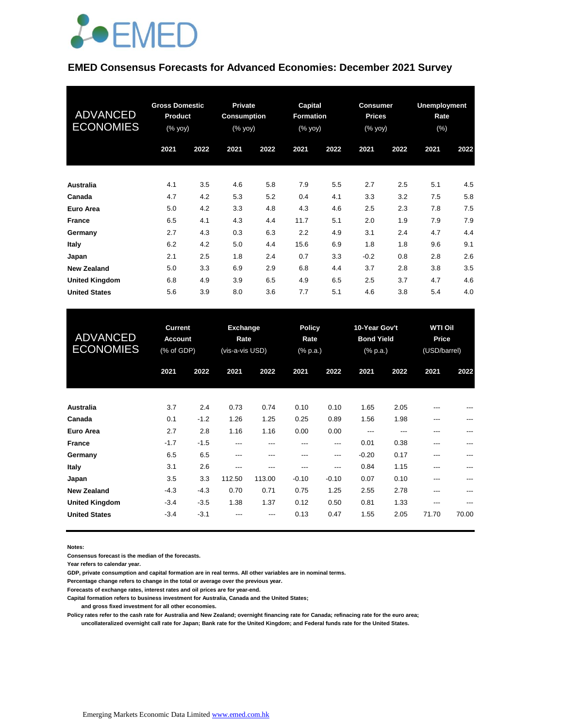

### **EMED Consensus Forecasts for Advanced Economies: December 2021 Survey**

| <b>ADVANCED</b><br><b>ECONOMIES</b> | <b>Gross Domestic</b><br><b>Product</b><br>(% yoy) |      | <b>Private</b><br><b>Consumption</b><br>$(% \mathbf{y}\right)$ (% $\overline{\mathbf{y}}$ $\overline{\mathbf{y}}$ $\overline{\mathbf{y}}$ |      | Capital<br>Formation<br>(% yoy) |      | <b>Consumer</b><br><b>Prices</b><br>(% yoy) |      | <b>Unemployment</b><br>Rate<br>$(\%)$ |      |
|-------------------------------------|----------------------------------------------------|------|-------------------------------------------------------------------------------------------------------------------------------------------|------|---------------------------------|------|---------------------------------------------|------|---------------------------------------|------|
|                                     | 2021                                               | 2022 | 2021                                                                                                                                      | 2022 | 2021                            | 2022 | 2021                                        | 2022 | 2021                                  | 2022 |
| <b>Australia</b>                    | 4.1                                                | 3.5  | 4.6                                                                                                                                       | 5.8  | 7.9                             | 5.5  | 2.7                                         | 2.5  | 5.1                                   | 4.5  |
| Canada                              | 4.7                                                | 4.2  | 5.3                                                                                                                                       | 5.2  | 0.4                             | 4.1  | 3.3                                         | 3.2  | 7.5                                   | 5.8  |
| Euro Area                           | 5.0                                                | 4.2  | 3.3                                                                                                                                       | 4.8  | 4.3                             | 4.6  | 2.5                                         | 2.3  | 7.8                                   | 7.5  |
| <b>France</b>                       | 6.5                                                | 4.1  | 4.3                                                                                                                                       | 4.4  | 11.7                            | 5.1  | 2.0                                         | 1.9  | 7.9                                   | 7.9  |
| Germany                             | 2.7                                                | 4.3  | 0.3                                                                                                                                       | 6.3  | 2.2                             | 4.9  | 3.1                                         | 2.4  | 4.7                                   | 4.4  |
| Italy                               | 6.2                                                | 4.2  | 5.0                                                                                                                                       | 4.4  | 15.6                            | 6.9  | 1.8                                         | 1.8  | 9.6                                   | 9.1  |
| Japan                               | 2.1                                                | 2.5  | 1.8                                                                                                                                       | 2.4  | 0.7                             | 3.3  | $-0.2$                                      | 0.8  | 2.8                                   | 2.6  |
| <b>New Zealand</b>                  | 5.0                                                | 3.3  | 6.9                                                                                                                                       | 2.9  | 6.8                             | 4.4  | 3.7                                         | 2.8  | 3.8                                   | 3.5  |
| <b>United Kingdom</b>               | 6.8                                                | 4.9  | 3.9                                                                                                                                       | 6.5  | 4.9                             | 6.5  | 2.5                                         | 3.7  | 4.7                                   | 4.6  |
| <b>United States</b>                | 5.6                                                | 3.9  | 8.0                                                                                                                                       | 3.6  | 7.7                             | 5.1  | 4.6                                         | 3.8  | 5.4                                   | 4.0  |

| <b>ADVANCED</b><br><b>ECONOMIES</b> | <b>Current</b><br><b>Account</b><br>(% of GDP) |        | <b>Exchange</b><br>Rate<br>(vis-a-vis USD) |        | <b>Policy</b><br>Rate<br>(% p.a.) |         | 10-Year Gov't<br><b>Bond Yield</b><br>$(%$ (% p.a.) |      | <b>WTI Oil</b><br>Price<br>(USD/barrel) |       |
|-------------------------------------|------------------------------------------------|--------|--------------------------------------------|--------|-----------------------------------|---------|-----------------------------------------------------|------|-----------------------------------------|-------|
|                                     | 2021                                           | 2022   | 2021                                       | 2022   | 2021                              | 2022    | 2021                                                | 2022 | 2021                                    | 2022  |
| <b>Australia</b>                    | 3.7                                            | 2.4    | 0.73                                       | 0.74   | 0.10                              | 0.10    | 1.65                                                | 2.05 | ---                                     | ---   |
| Canada                              | 0.1                                            | $-1.2$ | 1.26                                       | 1.25   | 0.25                              | 0.89    | 1.56                                                | 1.98 | ---                                     | ---   |
| Euro Area                           | 2.7                                            | 2.8    | 1.16                                       | 1.16   | 0.00                              | 0.00    | ---                                                 | ---  | ---                                     | ---   |
| <b>France</b>                       | $-1.7$                                         | $-1.5$ | ---                                        | ---    | ---                               | ---     | 0.01                                                | 0.38 | ---                                     | ---   |
| Germany                             | 6.5                                            | 6.5    | ---                                        | ---    | ---                               | ---     | $-0.20$                                             | 0.17 | ---                                     | ---   |
| Italy                               | 3.1                                            | 2.6    | ---                                        | ---    | ---                               | ---     | 0.84                                                | 1.15 | $---$                                   | ---   |
| Japan                               | 3.5                                            | 3.3    | 112.50                                     | 113.00 | $-0.10$                           | $-0.10$ | 0.07                                                | 0.10 | $---$                                   | ---   |
| <b>New Zealand</b>                  | $-4.3$                                         | $-4.3$ | 0.70                                       | 0.71   | 0.75                              | 1.25    | 2.55                                                | 2.78 | ---                                     | ---   |
| <b>United Kingdom</b>               | $-3.4$                                         | $-3.5$ | 1.38                                       | 1.37   | 0.12                              | 0.50    | 0.81                                                | 1.33 | ---                                     | ---   |
| <b>United States</b>                | $-3.4$                                         | $-3.1$ | ---                                        | ---    | 0.13                              | 0.47    | 1.55                                                | 2.05 | 71.70                                   | 70.00 |

**Notes:** 

**Consensus forecast is the median of the forecasts.**

**Year refers to calendar year.**

**GDP, private consumption and capital formation are in real terms. All other variables are in nominal terms.**

**Percentage change refers to change in the total or average over the previous year.**

**Forecasts of exchange rates, interest rates and oil prices are for year-end.**

**Capital formation refers to business investment for Australia, Canada and the United States;**

 **and gross fixed investment for all other economies.**

**Policy rates refer to the cash rate for Australia and New Zealand; overnight financing rate for Canada; refinacing rate for the euro area; uncollateralized overnight call rate for Japan; Bank rate for the United Kingdom; and Federal funds rate for the United States.**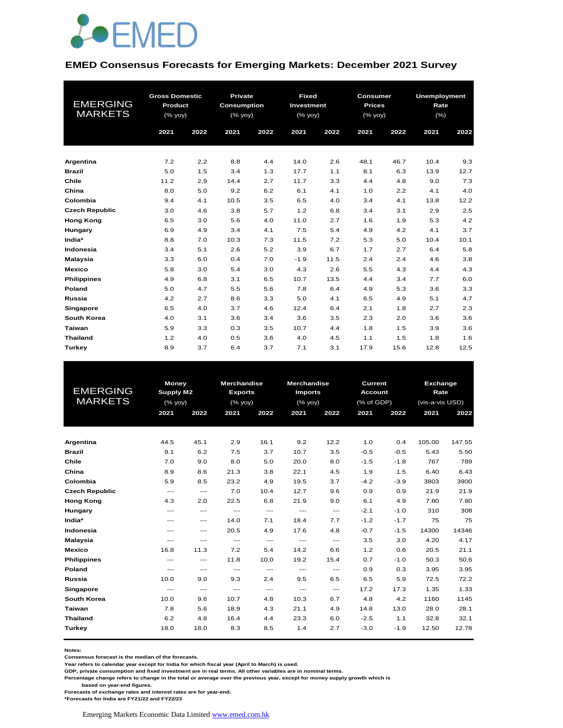

### **EMED Consensus Forecasts for Emerging Markets: December 2021 Survey**

| <b>EMERGING</b><br><b>MARKETS</b> | <b>Gross Domestic</b><br>Product<br>(% yoy) |      | <b>Private</b><br><b>Consumption</b><br>(% yoy) |      | <b>Fixed</b><br>Investment<br>(% yoy) |      | <b>Consumer</b><br><b>Prices</b><br>(% yoy) |      | Unemployment<br>Rate<br>$(\% )$ |      |
|-----------------------------------|---------------------------------------------|------|-------------------------------------------------|------|---------------------------------------|------|---------------------------------------------|------|---------------------------------|------|
|                                   | 2021                                        | 2022 | 2021                                            | 2022 | 2021                                  | 2022 | 2021                                        | 2022 | 2021                            | 2022 |
| Argentina                         | 7.2                                         | 2.2  | 8.8                                             | 4.4  | 14.0                                  | 2.6  | 48.1                                        | 46.7 | 10.4                            | 9.3  |
| <b>Brazil</b>                     | 5.0                                         | 1.5  | 3.4                                             | 1.3  | 17.7                                  | 1.1  | 8.1                                         | 6.3  | 13.9                            | 12.7 |
| Chile                             | 11.2                                        | 2.9  | 14.4                                            | 2.7  | 11.7                                  | 3.3  | 4.4                                         | 4.8  | 9.0                             | 7.3  |
| China                             | 8.0                                         | 5.0  | 9.2                                             | 6.2  | 6.1                                   | 4.1  | 1.0                                         | 2.2  | 4.1                             | 4.0  |
| Colombia                          | 9.4                                         | 4.1  | 10.5                                            | 3.5  | 6.5                                   | 4.0  | 3.4                                         | 4.1  | 13.8                            | 12.2 |
| <b>Czech Republic</b>             | 3.0                                         | 4.6  | 3.8                                             | 5.7  | 1.2                                   | 6.8  | 3.4                                         | 3.1  | 2.9                             | 2.5  |
| <b>Hong Kong</b>                  | 6.5                                         | 3.0  | 5.6                                             | 4.0  | 11.0                                  | 2.7  | 1.6                                         | 1.9  | 5.3                             | 4.2  |
| Hungary                           | 6.9                                         | 4.9  | 3.4                                             | 4.1  | 7.5                                   | 5.4  | 4.9                                         | 4.2  | 4.1                             | 3.7  |
| India*                            | 8.8                                         | 7.0  | 10.3                                            | 7.3  | 11.5                                  | 7.2  | 5.3                                         | 5.0  | 10.4                            | 10.1 |
| Indonesia                         | 3.4                                         | 5.1  | 2.6                                             | 5.2  | 3.9                                   | 6.7  | 1.7                                         | 2.7  | 6.4                             | 5.8  |
| <b>Malaysia</b>                   | 3.3                                         | 6.0  | 0.4                                             | 7.0  | $-1.9$                                | 11.5 | 2.4                                         | 2.4  | 4.6                             | 3.8  |
| Mexico                            | 5.8                                         | 3.0  | 5.4                                             | 3.0  | 4.3                                   | 2.6  | 5.5                                         | 4.3  | 4.4                             | 4.3  |
| <b>Philippines</b>                | 4.9                                         | 6.8  | 3.1                                             | 6.5  | 10.7                                  | 13.5 | 4.4                                         | 3.4  | 7.7                             | 6.0  |
| Poland                            | 5.0                                         | 4.7  | 5.5                                             | 5.6  | 7.8                                   | 6.4  | 4.9                                         | 5.3  | 3.6                             | 3.3  |
| Russia                            | 4.2                                         | 2.7  | 8.6                                             | 3.3  | 5.0                                   | 4.1  | 6.5                                         | 4.9  | 5.1                             | 4.7  |
| Singapore                         | 6.5                                         | 4.0  | 3.7                                             | 4.6  | 12.4                                  | 6.4  | 2.1                                         | 1.8  | 2.7                             | 2.3  |
| <b>South Korea</b>                | 4.0                                         | 3.1  | 3.6                                             | 3.4  | 3.6                                   | 3.5  | 2.3                                         | 2.0  | 3.6                             | 3.6  |
| Taiwan                            | 5.9                                         | 3.3  | 0.3                                             | 3.5  | 10.7                                  | 4.4  | 1.8                                         | 1.5  | 3.9                             | 3.6  |
| <b>Thailand</b>                   | 1.2                                         | 4.0  | 0.5                                             | 3.6  | 4.0                                   | 4.5  | 1.1                                         | 1.5  | 1.8                             | 1.6  |
| Turkey                            | 8.9                                         | 3.7  | 6.4                                             | 3.7  | 7.1                                   | 3.1  | 17.9                                        | 15.6 | 12.8                            | 12.5 |

|                       | <b>Money</b>     |       | <b>Merchandise</b> |       | Merchandise                              |                                          | Current        |        | Exchange        |        |
|-----------------------|------------------|-------|--------------------|-------|------------------------------------------|------------------------------------------|----------------|--------|-----------------|--------|
| <b>EMERGING</b>       | <b>Supply M2</b> |       | <b>Exports</b>     |       | <b>Imports</b>                           |                                          | <b>Account</b> |        | Rate            |        |
| <b>MARKETS</b>        | (%               |       | (% yoy)            |       | $(%$ (% yoy)                             |                                          | (% of GDP)     |        | (vis-a-vis USD) |        |
|                       | 2021             | 2022  | 2021               | 2022  | 2021                                     | 2022                                     | 2021           | 2022   | 2021            | 2022   |
|                       |                  |       |                    |       |                                          |                                          |                |        |                 |        |
| Argentina             | 44.5             | 45.1  | 2.9                | 16.1  | 9.2                                      | 12.2                                     | 1.0            | 0.4    | 105.00          | 147.55 |
| <b>Brazil</b>         | 9.1              | 6.2   | 7.5                | 3.7   | 10.7                                     | 3.5                                      | $-0.5$         | $-0.5$ | 5.43            | 5.50   |
| Chile                 | 7.0              | 9.0   | 8.0                | 5.0   | 20.0                                     | 8.0                                      | $-1.5$         | $-1.8$ | 767             | 789    |
| China                 | 8.9              | 8.6   | 21.3               | 3.8   | 22.1                                     | 4.5                                      | 1.9            | 1.5    | 6.40            | 6.43   |
| Colombia              | 5.9              | 8.5   | 23.2               | 4.9   | 19.5                                     | 3.7                                      | $-4.2$         | $-3.9$ | 3803            | 3900   |
| <b>Czech Republic</b> | $---$            | $---$ | 7.0                | 10.4  | 12.7                                     | 9.6                                      | 0.9            | 0.9    | 21.9            | 21.9   |
| <b>Hong Kong</b>      | 4.3              | 2.0   | 22.5               | 6.8   | 21.9                                     | 9.0                                      | 6.1            | 4.9    | 7.80            | 7.80   |
| Hungary               | $---$            | $---$ | $---$              | ---   | $---$                                    | $\hspace{0.05cm} \ldots \hspace{0.05cm}$ | $-2.1$         | $-1.0$ | 310             | 308    |
| India*                | $---$            | $---$ | 14.0               | 7.1   | 18.4                                     | 7.7                                      | $-1.2$         | $-1.7$ | 75              | 75     |
| Indonesia             | $---$            | $---$ | 20.5               | 4.9   | 17.6                                     | 4.8                                      | $-0.7$         | $-1.5$ | 14300           | 14346  |
| <b>Malaysia</b>       | $---$            | $---$ | ---                | ---   | $\hspace{0.05cm} \ldots \hspace{0.05cm}$ | $\hspace{0.05cm} \ldots \hspace{0.05cm}$ | 3.5            | 3.0    | 4.20            | 4.17   |
| <b>Mexico</b>         | 16.8             | 11.3  | 7.2                | 5.4   | 14.2                                     | 6.6                                      | 1.2            | 0.6    | 20.5            | 21.1   |
| <b>Philippines</b>    | $---$            | $---$ | 11.8               | 10.0  | 19.2                                     | 15.4                                     | 0.7            | $-1.0$ | 50.3            | 50.6   |
| Poland                | $---$            | $---$ | $---$              | $---$ | $---$                                    | $---$                                    | 0.9            | 0.3    | 3.95            | 3.95   |
| Russia                | 10.0             | 9.0   | 9.3                | 2.4   | 9.5                                      | 6.5                                      | 6.5            | 5.9    | 72.5            | 72.2   |
| Singapore             | $---$            | $---$ | $---$              | $---$ | $---$                                    | $---$                                    | 17.2           | 17.3   | 1.35            | 1.33   |
| <b>South Korea</b>    | 10.0             | 9.6   | 10.7               | 4.8   | 10.3                                     | 6.7                                      | 4.8            | 4.2    | 1160            | 1145   |
| Taiwan                | 7.8              | 5.6   | 18.9               | 4.3   | 21.1                                     | 4.9                                      | 14.8           | 13.0   | 28.0            | 28.1   |
| <b>Thailand</b>       | 6.2              | 4.8   | 16.4               | 4.4   | 23.3                                     | 6.0                                      | $-2.5$         | 1.1    | 32.8            | 32.1   |
| <b>Turkey</b>         | 18.0             | 18.0  | 8.3                | 8.5   | 1.4                                      | 2.7                                      | $-3.0$         | $-1.9$ | 12.50           | 12.78  |
|                       |                  |       |                    |       |                                          |                                          |                |        |                 |        |

**Notes:** 

**Consensus forecast is the median of the forecasts.**

**Year refers to calendar year except for India for which fiscal year (April to March) is used.**

**GDP, private consumption and fixed investment are in real terms. All other variables are in nominal terms.**

**Percentage change refers to change in the total or average over the previous year, except for money supply growth which is** 

 **based on year-end figures.**

**Forecasts of exchange rates and interest rates are for year-end.**

**\*Forecasts for India are FY21/22 and FY22/23**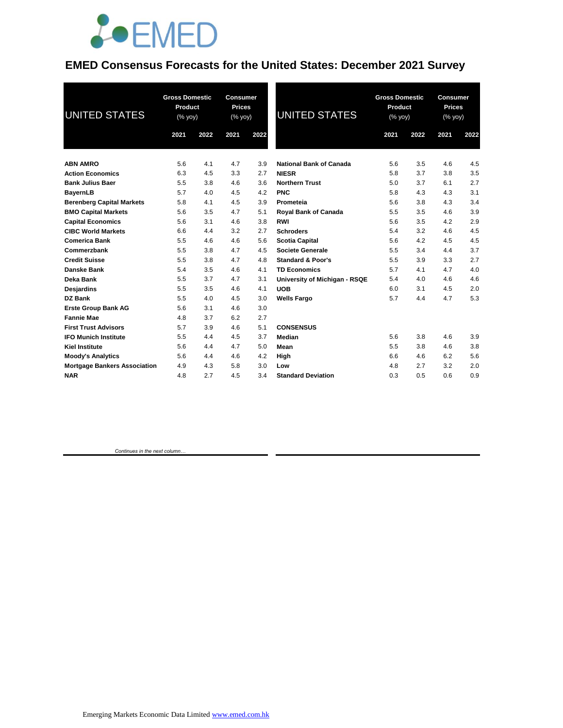

### **EMED Consensus Forecasts for the United States: December 2021 Survey**

| <b>UNITED STATES</b>                | <b>Gross Domestic</b><br>Product<br>$(\%$ yoy) |      | <b>Consumer</b><br><b>Prices</b><br>$(\%$ yoy) |      | <b>UNITED STATES</b>           | <b>Gross Domestic</b><br>Product<br>(% yoy) |      | <b>Consumer</b><br><b>Prices</b><br>(% yoy) |      |
|-------------------------------------|------------------------------------------------|------|------------------------------------------------|------|--------------------------------|---------------------------------------------|------|---------------------------------------------|------|
|                                     | 2021                                           | 2022 | 2021                                           | 2022 |                                | 2021                                        | 2022 | 2021                                        | 2022 |
| <b>ABN AMRO</b>                     | 5.6                                            | 4.1  | 4.7                                            | 3.9  | <b>National Bank of Canada</b> | 5.6                                         | 3.5  | 4.6                                         | 4.5  |
| <b>Action Economics</b>             | 6.3                                            | 4.5  | 3.3                                            | 2.7  | <b>NIESR</b>                   | 5.8                                         | 3.7  | 3.8                                         | 3.5  |
| <b>Bank Julius Baer</b>             | 5.5                                            | 3.8  | 4.6                                            | 3.6  | <b>Northern Trust</b>          | 5.0                                         | 3.7  | 6.1                                         | 2.7  |
| <b>BayernLB</b>                     | 5.7                                            | 4.0  | 4.5                                            | 4.2  | <b>PNC</b>                     | 5.8                                         | 4.3  | 4.3                                         | 3.1  |
| <b>Berenberg Capital Markets</b>    | 5.8                                            | 4.1  | 4.5                                            | 3.9  | Prometeia                      | 5.6                                         | 3.8  | 4.3                                         | 3.4  |
| <b>BMO Capital Markets</b>          | 5.6                                            | 3.5  | 4.7                                            | 5.1  | <b>Royal Bank of Canada</b>    | 5.5                                         | 3.5  | 4.6                                         | 3.9  |
| <b>Capital Economics</b>            | 5.6                                            | 3.1  | 4.6                                            | 3.8  | RWI                            | 5.6                                         | 3.5  | 4.2                                         | 2.9  |
| <b>CIBC World Markets</b>           | 6.6                                            | 4.4  | 3.2                                            | 2.7  | <b>Schroders</b>               | 5.4                                         | 3.2  | 4.6                                         | 4.5  |
| <b>Comerica Bank</b>                | 5.5                                            | 4.6  | 4.6                                            | 5.6  | <b>Scotia Capital</b>          | 5.6                                         | 4.2  | 4.5                                         | 4.5  |
| Commerzbank                         | 5.5                                            | 3.8  | 4.7                                            | 4.5  | Societe Generale               | 5.5                                         | 3.4  | 4.4                                         | 3.7  |
| <b>Credit Suisse</b>                | 5.5                                            | 3.8  | 4.7                                            | 4.8  | <b>Standard &amp; Poor's</b>   | 5.5                                         | 3.9  | 3.3                                         | 2.7  |
| <b>Danske Bank</b>                  | 5.4                                            | 3.5  | 4.6                                            | 4.1  | <b>TD Economics</b>            | 5.7                                         | 4.1  | 4.7                                         | 4.0  |
| Deka Bank                           | 5.5                                            | 3.7  | 4.7                                            | 3.1  | University of Michigan - RSQE  | 5.4                                         | 4.0  | 4.6                                         | 4.6  |
| Desjardins                          | 5.5                                            | 3.5  | 4.6                                            | 4.1  | <b>UOB</b>                     | 6.0                                         | 3.1  | 4.5                                         | 2.0  |
| <b>DZ Bank</b>                      | 5.5                                            | 4.0  | 4.5                                            | 3.0  | <b>Wells Fargo</b>             | 5.7                                         | 4.4  | 4.7                                         | 5.3  |
| <b>Erste Group Bank AG</b>          | 5.6                                            | 3.1  | 4.6                                            | 3.0  |                                |                                             |      |                                             |      |
| <b>Fannie Mae</b>                   | 4.8                                            | 3.7  | 6.2                                            | 2.7  |                                |                                             |      |                                             |      |
| <b>First Trust Advisors</b>         | 5.7                                            | 3.9  | 4.6                                            | 5.1  | <b>CONSENSUS</b>               |                                             |      |                                             |      |
| <b>IFO Munich Institute</b>         | 5.5                                            | 4.4  | 4.5                                            | 3.7  | Median                         | 5.6                                         | 3.8  | 4.6                                         | 3.9  |
| <b>Kiel Institute</b>               | 5.6                                            | 4.4  | 4.7                                            | 5.0  | Mean                           | 5.5                                         | 3.8  | 4.6                                         | 3.8  |
| <b>Moody's Analytics</b>            | 5.6                                            | 4.4  | 4.6                                            | 4.2  | High                           | 6.6                                         | 4.6  | 6.2                                         | 5.6  |
| <b>Mortgage Bankers Association</b> | 4.9                                            | 4.3  | 5.8                                            | 3.0  | Low                            | 4.8                                         | 2.7  | 3.2                                         | 2.0  |
| <b>NAR</b>                          | 4.8                                            | 2.7  | 4.5                                            | 3.4  | <b>Standard Deviation</b>      | 0.3                                         | 0.5  | 0.6                                         | 0.9  |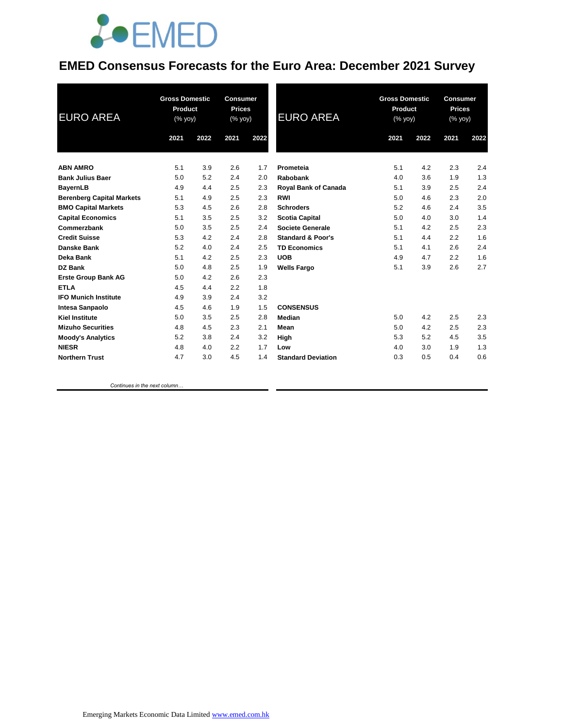

### **EMED Consensus Forecasts for the Euro Area: December 2021 Survey**

| <b>EURO AREA</b>                 | <b>Gross Domestic</b><br>Product<br>(% yoy) |      | <b>Consumer</b><br><b>Prices</b><br>(% yoy) |      | <b>EURO AREA</b>             | <b>Gross Domestic</b><br>Product<br>(% yoy) |      | <b>Consumer</b><br><b>Prices</b><br>(% yoy) |      |
|----------------------------------|---------------------------------------------|------|---------------------------------------------|------|------------------------------|---------------------------------------------|------|---------------------------------------------|------|
|                                  | 2021                                        | 2022 | 2021                                        | 2022 |                              | 2021                                        | 2022 | 2021                                        | 2022 |
| <b>ABN AMRO</b>                  | 5.1                                         | 3.9  | 2.6                                         | 1.7  | Prometeia                    | 5.1                                         | 4.2  | 2.3                                         | 2.4  |
| <b>Bank Julius Baer</b>          | 5.0                                         | 5.2  | 2.4                                         | 2.0  | Rabobank                     | 4.0                                         | 3.6  | 1.9                                         | 1.3  |
| <b>BayernLB</b>                  | 4.9                                         | 4.4  | 2.5                                         | 2.3  | Royal Bank of Canada         | 5.1                                         | 3.9  | 2.5                                         | 2.4  |
| <b>Berenberg Capital Markets</b> | 5.1                                         | 4.9  | 2.5                                         | 2.3  | <b>RWI</b>                   | 5.0                                         | 4.6  | 2.3                                         | 2.0  |
| <b>BMO Capital Markets</b>       | 5.3                                         | 4.5  | 2.6                                         | 2.8  | <b>Schroders</b>             | 5.2                                         | 4.6  | 2.4                                         | 3.5  |
| <b>Capital Economics</b>         | 5.1                                         | 3.5  | 2.5                                         | 3.2  | <b>Scotia Capital</b>        | 5.0                                         | 4.0  | 3.0                                         | 1.4  |
| Commerzbank                      | 5.0                                         | 3.5  | 2.5                                         | 2.4  | <b>Societe Generale</b>      | 5.1                                         | 4.2  | 2.5                                         | 2.3  |
| <b>Credit Suisse</b>             | 5.3                                         | 4.2  | 2.4                                         | 2.8  | <b>Standard &amp; Poor's</b> | 5.1                                         | 4.4  | 2.2                                         | 1.6  |
| Danske Bank                      | 5.2                                         | 4.0  | 2.4                                         | 2.5  | <b>TD Economics</b>          | 5.1                                         | 4.1  | 2.6                                         | 2.4  |
| Deka Bank                        | 5.1                                         | 4.2  | 2.5                                         | 2.3  | <b>UOB</b>                   | 4.9                                         | 4.7  | 2.2                                         | 1.6  |
| <b>DZ Bank</b>                   | 5.0                                         | 4.8  | 2.5                                         | 1.9  | <b>Wells Fargo</b>           | 5.1                                         | 3.9  | 2.6                                         | 2.7  |
| <b>Erste Group Bank AG</b>       | 5.0                                         | 4.2  | 2.6                                         | 2.3  |                              |                                             |      |                                             |      |
| <b>ETLA</b>                      | 4.5                                         | 4.4  | 2.2                                         | 1.8  |                              |                                             |      |                                             |      |
| <b>IFO Munich Institute</b>      | 4.9                                         | 3.9  | 2.4                                         | 3.2  |                              |                                             |      |                                             |      |
| Intesa Sanpaolo                  | 4.5                                         | 4.6  | 1.9                                         | 1.5  | <b>CONSENSUS</b>             |                                             |      |                                             |      |
| <b>Kiel Institute</b>            | 5.0                                         | 3.5  | 2.5                                         | 2.8  | Median                       | 5.0                                         | 4.2  | 2.5                                         | 2.3  |
| <b>Mizuho Securities</b>         | 4.8                                         | 4.5  | 2.3                                         | 2.1  | Mean                         | 5.0                                         | 4.2  | 2.5                                         | 2.3  |
| <b>Moody's Analytics</b>         | 5.2                                         | 3.8  | 2.4                                         | 3.2  | High                         | 5.3                                         | 5.2  | 4.5                                         | 3.5  |
| <b>NIESR</b>                     | 4.8                                         | 4.0  | 2.2                                         | 1.7  | Low                          | 4.0                                         | 3.0  | 1.9                                         | 1.3  |
| <b>Northern Trust</b>            | 4.7                                         | 3.0  | 4.5                                         | 1.4  | <b>Standard Deviation</b>    | 0.3                                         | 0.5  | 0.4                                         | 0.6  |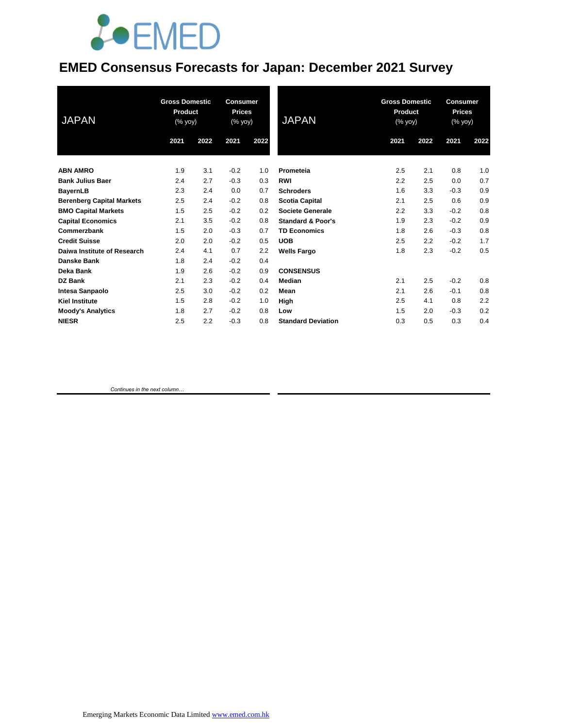# **JOEMED**

### **EMED Consensus Forecasts for Japan: December 2021 Survey**

| <b>JAPAN</b>                     | <b>Gross Domestic</b><br>Product<br>(% yoy) |      | <b>Consumer</b><br><b>Prices</b><br>(% yoy) |      | <b>JAPAN</b>                 | <b>Gross Domestic</b><br>Product<br>(% yoy) |      | <b>Consumer</b><br><b>Prices</b><br>(% yoy) |      |
|----------------------------------|---------------------------------------------|------|---------------------------------------------|------|------------------------------|---------------------------------------------|------|---------------------------------------------|------|
|                                  | 2021                                        | 2022 | 2021                                        | 2022 |                              | 2021                                        | 2022 | 2021                                        | 2022 |
| <b>ABN AMRO</b>                  | 1.9                                         | 3.1  | $-0.2$                                      | 1.0  | Prometeia                    | 2.5                                         | 2.1  | 0.8                                         | 1.0  |
| <b>Bank Julius Baer</b>          | 2.4                                         | 2.7  | $-0.3$                                      | 0.3  | <b>RWI</b>                   | 2.2                                         | 2.5  | 0.0                                         | 0.7  |
| <b>BayernLB</b>                  | 2.3                                         | 2.4  | 0.0                                         | 0.7  | <b>Schroders</b>             | 1.6                                         | 3.3  | $-0.3$                                      | 0.9  |
| <b>Berenberg Capital Markets</b> | 2.5                                         | 2.4  | $-0.2$                                      | 0.8  | <b>Scotia Capital</b>        | 2.1                                         | 2.5  | 0.6                                         | 0.9  |
| <b>BMO Capital Markets</b>       | 1.5                                         | 2.5  | $-0.2$                                      | 0.2  | <b>Societe Generale</b>      | 2.2                                         | 3.3  | $-0.2$                                      | 0.8  |
| <b>Capital Economics</b>         | 2.1                                         | 3.5  | $-0.2$                                      | 0.8  | <b>Standard &amp; Poor's</b> | 1.9                                         | 2.3  | $-0.2$                                      | 0.9  |
| Commerzbank                      | 1.5                                         | 2.0  | $-0.3$                                      | 0.7  | <b>TD Economics</b>          | 1.8                                         | 2.6  | $-0.3$                                      | 0.8  |
| <b>Credit Suisse</b>             | 2.0                                         | 2.0  | $-0.2$                                      | 0.5  | <b>UOB</b>                   | 2.5                                         | 2.2  | $-0.2$                                      | 1.7  |
| Daiwa Institute of Research      | 2.4                                         | 4.1  | 0.7                                         | 2.2  | <b>Wells Fargo</b>           | 1.8                                         | 2.3  | $-0.2$                                      | 0.5  |
| <b>Danske Bank</b>               | 1.8                                         | 2.4  | $-0.2$                                      | 0.4  |                              |                                             |      |                                             |      |
| Deka Bank                        | 1.9                                         | 2.6  | $-0.2$                                      | 0.9  | <b>CONSENSUS</b>             |                                             |      |                                             |      |
| DZ Bank                          | 2.1                                         | 2.3  | $-0.2$                                      | 0.4  | Median                       | 2.1                                         | 2.5  | $-0.2$                                      | 0.8  |
| Intesa Sanpaolo                  | 2.5                                         | 3.0  | $-0.2$                                      | 0.2  | Mean                         | 2.1                                         | 2.6  | $-0.1$                                      | 0.8  |
| <b>Kiel Institute</b>            | 1.5                                         | 2.8  | $-0.2$                                      | 1.0  | High                         | 2.5                                         | 4.1  | 0.8                                         | 2.2  |
| <b>Moody's Analytics</b>         | 1.8                                         | 2.7  | $-0.2$                                      | 0.8  | Low                          | 1.5                                         | 2.0  | $-0.3$                                      | 0.2  |
| <b>NIESR</b>                     | 2.5                                         | 2.2  | $-0.3$                                      | 0.8  | <b>Standard Deviation</b>    | 0.3                                         | 0.5  | 0.3                                         | 0.4  |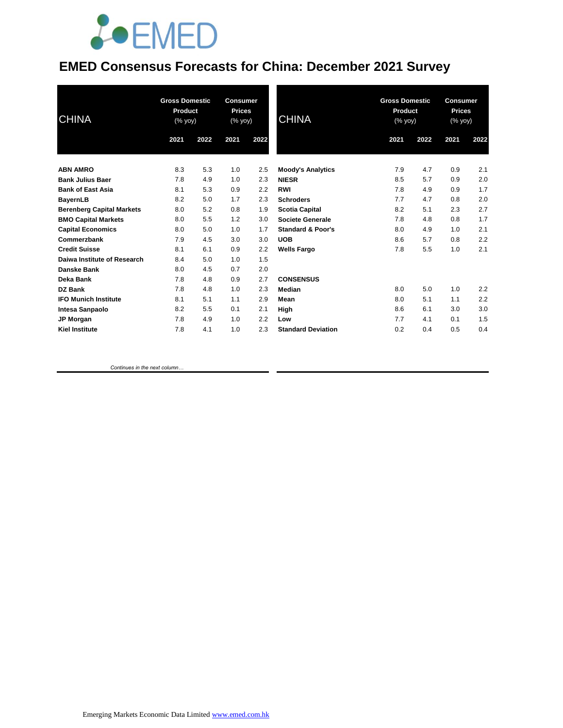

### **EMED Consensus Forecasts for China: December 2021 Survey**

| <b>CHINA</b>                     | <b>Gross Domestic</b><br>Product<br>(% yoy) |      | <b>Consumer</b><br><b>Prices</b><br>$(% \mathsf{Y}\cup \mathsf{Y})$ (% $\mathsf{Y}\cup \mathsf{Y}$ |      | <b>CHINA</b>                 | <b>Gross Domestic</b><br>Product<br>(% yoy) |      | <b>Consumer</b><br><b>Prices</b><br>(% yoy) |      |
|----------------------------------|---------------------------------------------|------|----------------------------------------------------------------------------------------------------|------|------------------------------|---------------------------------------------|------|---------------------------------------------|------|
|                                  | 2021                                        | 2022 | 2021                                                                                               | 2022 |                              | 2021                                        | 2022 | 2021                                        | 2022 |
| <b>ABN AMRO</b>                  | 8.3                                         | 5.3  | 1.0                                                                                                | 2.5  | <b>Moody's Analytics</b>     | 7.9                                         | 4.7  | 0.9                                         | 2.1  |
| <b>Bank Julius Baer</b>          | 7.8                                         | 4.9  | 1.0                                                                                                | 2.3  | <b>NIESR</b>                 | 8.5                                         | 5.7  | 0.9                                         | 2.0  |
| <b>Bank of East Asia</b>         | 8.1                                         | 5.3  | 0.9                                                                                                | 2.2  | <b>RWI</b>                   | 7.8                                         | 4.9  | 0.9                                         | 1.7  |
| <b>BayernLB</b>                  | 8.2                                         | 5.0  | 1.7                                                                                                | 2.3  | <b>Schroders</b>             | 7.7                                         | 4.7  | 0.8                                         | 2.0  |
| <b>Berenberg Capital Markets</b> | 8.0                                         | 5.2  | 0.8                                                                                                | 1.9  | <b>Scotia Capital</b>        | 8.2                                         | 5.1  | 2.3                                         | 2.7  |
| <b>BMO Capital Markets</b>       | 8.0                                         | 5.5  | 1.2                                                                                                | 3.0  | <b>Societe Generale</b>      | 7.8                                         | 4.8  | 0.8                                         | 1.7  |
| <b>Capital Economics</b>         | 8.0                                         | 5.0  | 1.0                                                                                                | 1.7  | <b>Standard &amp; Poor's</b> | 8.0                                         | 4.9  | 1.0                                         | 2.1  |
| Commerzbank                      | 7.9                                         | 4.5  | 3.0                                                                                                | 3.0  | <b>UOB</b>                   | 8.6                                         | 5.7  | 0.8                                         | 2.2  |
| <b>Credit Suisse</b>             | 8.1                                         | 6.1  | 0.9                                                                                                | 2.2  | <b>Wells Fargo</b>           | 7.8                                         | 5.5  | 1.0                                         | 2.1  |
| Daiwa Institute of Research      | 8.4                                         | 5.0  | 1.0                                                                                                | 1.5  |                              |                                             |      |                                             |      |
| Danske Bank                      | 8.0                                         | 4.5  | 0.7                                                                                                | 2.0  |                              |                                             |      |                                             |      |
| Deka Bank                        | 7.8                                         | 4.8  | 0.9                                                                                                | 2.7  | <b>CONSENSUS</b>             |                                             |      |                                             |      |
| DZ Bank                          | 7.8                                         | 4.8  | 1.0                                                                                                | 2.3  | <b>Median</b>                | 8.0                                         | 5.0  | 1.0                                         | 2.2  |
| <b>IFO Munich Institute</b>      | 8.1                                         | 5.1  | 1.1                                                                                                | 2.9  | Mean                         | 8.0                                         | 5.1  | 1.1                                         | 2.2  |
| Intesa Sanpaolo                  | 8.2                                         | 5.5  | 0.1                                                                                                | 2.1  | High                         | 8.6                                         | 6.1  | 3.0                                         | 3.0  |
| <b>JP Morgan</b>                 | 7.8                                         | 4.9  | 1.0                                                                                                | 2.2  | Low                          | 7.7                                         | 4.1  | 0.1                                         | 1.5  |
| <b>Kiel Institute</b>            | 7.8                                         | 4.1  | 1.0                                                                                                | 2.3  | <b>Standard Deviation</b>    | 0.2                                         | 0.4  | 0.5                                         | 0.4  |